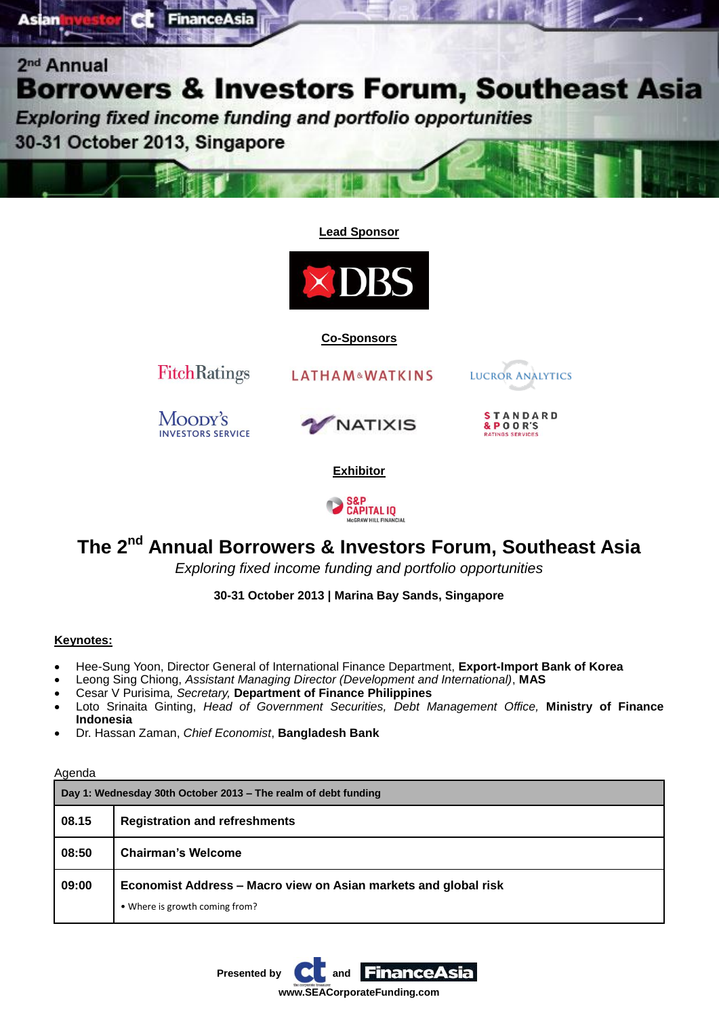

**Lead Sponsor**



**Co-Sponsors**



### **The 2nd Annual Borrowers & Investors Forum, Southeast Asia**

*Exploring fixed income funding and portfolio opportunities*

**30-31 October 2013 | Marina Bay Sands, Singapore**

### **Keynotes:**

- Hee-Sung Yoon, Director General of International Finance Department, **Export-Import Bank of Korea**
- Leong Sing Chiong, *Assistant Managing Director (Development and International)*, **MAS**
- Cesar V Purisima*, Secretary,* **Department of Finance Philippines**
- Loto Srinaita Ginting, *Head of Government Securities, Debt Management Office,* **Ministry of Finance Indonesia**
- Dr. Hassan Zaman, *Chief Economist*, **Bangladesh Bank**

#### Agenda

| Day 1: Wednesday 30th October 2013 – The realm of debt funding |                                                                                                   |  |
|----------------------------------------------------------------|---------------------------------------------------------------------------------------------------|--|
| 08.15                                                          | <b>Registration and refreshments</b>                                                              |  |
| 08:50                                                          | <b>Chairman's Welcome</b>                                                                         |  |
| 09:00                                                          | Economist Address - Macro view on Asian markets and global risk<br>• Where is growth coming from? |  |

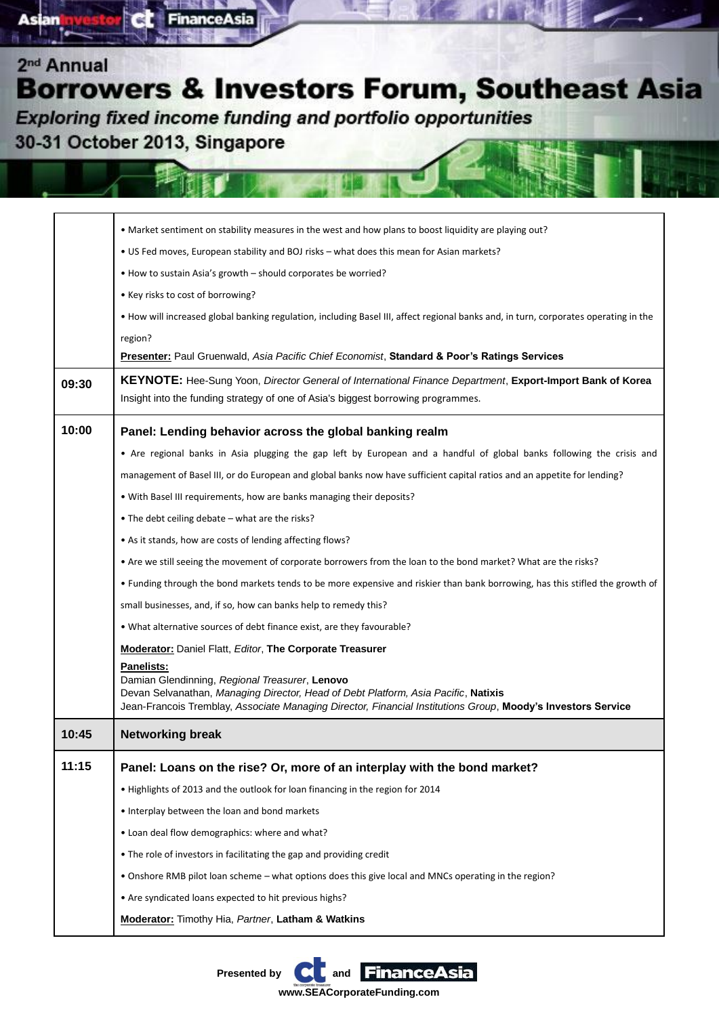Exploring fixed income funding and portfolio opportunities

**FinanceAsia** 

30-31 October 2013, Singapore

e.

|       | • Market sentiment on stability measures in the west and how plans to boost liquidity are playing out?                                                                                        |
|-------|-----------------------------------------------------------------------------------------------------------------------------------------------------------------------------------------------|
|       |                                                                                                                                                                                               |
|       | . US Fed moves, European stability and BOJ risks - what does this mean for Asian markets?                                                                                                     |
|       | • How to sustain Asia's growth - should corporates be worried?                                                                                                                                |
|       | • Key risks to cost of borrowing?                                                                                                                                                             |
|       | . How will increased global banking regulation, including Basel III, affect regional banks and, in turn, corporates operating in the                                                          |
|       | region?<br>Presenter: Paul Gruenwald, Asia Pacific Chief Economist, Standard & Poor's Ratings Services                                                                                        |
|       |                                                                                                                                                                                               |
| 09:30 | KEYNOTE: Hee-Sung Yoon, Director General of International Finance Department, Export-Import Bank of Korea<br>Insight into the funding strategy of one of Asia's biggest borrowing programmes. |
| 10:00 | Panel: Lending behavior across the global banking realm                                                                                                                                       |
|       | • Are regional banks in Asia plugging the gap left by European and a handful of global banks following the crisis and                                                                         |
|       | management of Basel III, or do European and global banks now have sufficient capital ratios and an appetite for lending?                                                                      |
|       | . With Basel III requirements, how are banks managing their deposits?                                                                                                                         |
|       | • The debt ceiling debate - what are the risks?                                                                                                                                               |
|       | • As it stands, how are costs of lending affecting flows?                                                                                                                                     |
|       | • Are we still seeing the movement of corporate borrowers from the loan to the bond market? What are the risks?                                                                               |
|       | • Funding through the bond markets tends to be more expensive and riskier than bank borrowing, has this stifled the growth of                                                                 |
|       | small businesses, and, if so, how can banks help to remedy this?                                                                                                                              |
|       | . What alternative sources of debt finance exist, are they favourable?                                                                                                                        |
|       | <b>Moderator: Daniel Flatt, Editor, The Corporate Treasurer</b>                                                                                                                               |
|       | <b>Panelists:</b>                                                                                                                                                                             |
|       | Damian Glendinning, Regional Treasurer, Lenovo<br>Devan Selvanathan, Managing Director, Head of Debt Platform, Asia Pacific, Natixis                                                          |
|       | Jean-Francois Tremblay, Associate Managing Director, Financial Institutions Group, Moody's Investors Service                                                                                  |
| 10:45 | <b>Networking break</b>                                                                                                                                                                       |
| 11:15 | Panel: Loans on the rise? Or, more of an interplay with the bond market?                                                                                                                      |
|       | • Highlights of 2013 and the outlook for loan financing in the region for 2014                                                                                                                |
|       | • Interplay between the loan and bond markets                                                                                                                                                 |
|       | . Loan deal flow demographics: where and what?                                                                                                                                                |
|       | . The role of investors in facilitating the gap and providing credit                                                                                                                          |
|       | . Onshore RMB pilot loan scheme - what options does this give local and MNCs operating in the region?                                                                                         |
|       | • Are syndicated loans expected to hit previous highs?                                                                                                                                        |
|       | <b>Moderator:</b> Timothy Hia, Partner, Latham & Watkins                                                                                                                                      |
|       |                                                                                                                                                                                               |

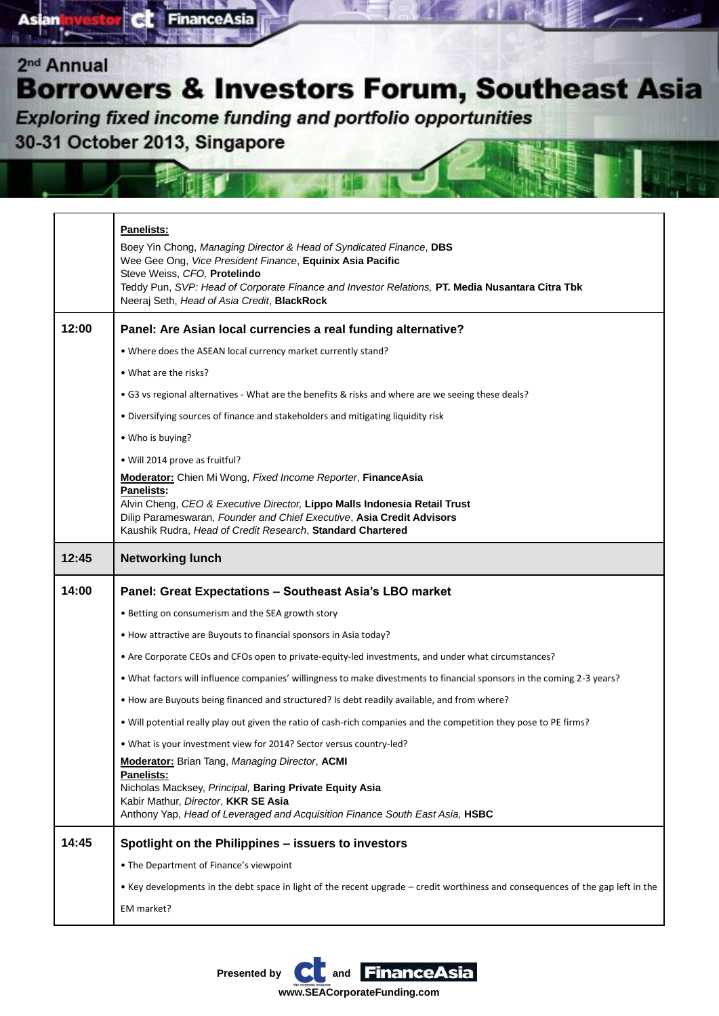Exploring fixed income funding and portfolio opportunities

**FinanceAsia** 

30-31 October 2013, Singapore

e.

**Asian** 

|       | <b>Panelists:</b>                                                                                                                                                                                                |
|-------|------------------------------------------------------------------------------------------------------------------------------------------------------------------------------------------------------------------|
|       | Boey Yin Chong, Managing Director & Head of Syndicated Finance, DBS<br>Wee Gee Ong, Vice President Finance, Equinix Asia Pacific<br>Steve Weiss, CFO, Protelindo                                                 |
|       | Teddy Pun, SVP: Head of Corporate Finance and Investor Relations, PT. Media Nusantara Citra Tbk<br>Neeraj Seth, Head of Asia Credit, BlackRock                                                                   |
| 12:00 | Panel: Are Asian local currencies a real funding alternative?                                                                                                                                                    |
|       | . Where does the ASEAN local currency market currently stand?                                                                                                                                                    |
|       | • What are the risks?                                                                                                                                                                                            |
|       | • G3 vs regional alternatives - What are the benefits & risks and where are we seeing these deals?                                                                                                               |
|       | • Diversifying sources of finance and stakeholders and mitigating liquidity risk                                                                                                                                 |
|       | • Who is buying?                                                                                                                                                                                                 |
|       | • Will 2014 prove as fruitful?                                                                                                                                                                                   |
|       | <b>Moderator:</b> Chien Mi Wong, Fixed Income Reporter, FinanceAsia<br>Panelists:                                                                                                                                |
|       | Alvin Cheng, CEO & Executive Director, Lippo Malls Indonesia Retail Trust<br>Dilip Parameswaran, Founder and Chief Executive, Asia Credit Advisors<br>Kaushik Rudra, Head of Credit Research, Standard Chartered |
| 12:45 | <b>Networking lunch</b>                                                                                                                                                                                          |
|       |                                                                                                                                                                                                                  |
| 14:00 | Panel: Great Expectations - Southeast Asia's LBO market                                                                                                                                                          |
|       | • Betting on consumerism and the SEA growth story                                                                                                                                                                |
|       | • How attractive are Buyouts to financial sponsors in Asia today?                                                                                                                                                |
|       | • Are Corporate CEOs and CFOs open to private-equity-led investments, and under what circumstances?                                                                                                              |
|       | . What factors will influence companies' willingness to make divestments to financial sponsors in the coming 2-3 years?                                                                                          |
|       | . How are Buyouts being financed and structured? Is debt readily available, and from where?                                                                                                                      |
|       | • Will potential really play out given the ratio of cash-rich companies and the competition they pose to PE firms?                                                                                               |
|       | . What is your investment view for 2014? Sector versus country-led?                                                                                                                                              |
|       | <b>Moderator:</b> Brian Tang, Managing Director, ACMI                                                                                                                                                            |
|       | Panelists:<br>Nicholas Macksey, Principal, Baring Private Equity Asia                                                                                                                                            |
|       | Kabir Mathur, Director, KKR SE Asia<br>Anthony Yap, Head of Leveraged and Acquisition Finance South East Asia, HSBC                                                                                              |
| 14:45 | Spotlight on the Philippines - issuers to investors                                                                                                                                                              |
|       | • The Department of Finance's viewpoint                                                                                                                                                                          |
|       | • Key developments in the debt space in light of the recent upgrade – credit worthiness and consequences of the gap left in the                                                                                  |
|       | EM market?                                                                                                                                                                                                       |



**www.SEACorporateFunding.com**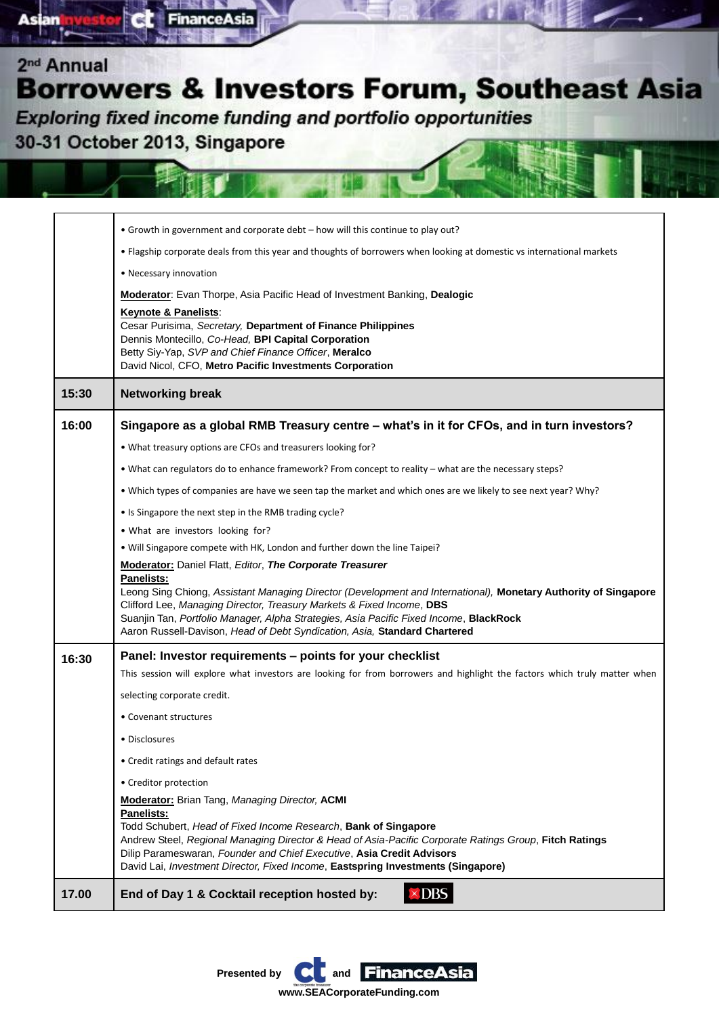Exploring fixed income funding and portfolio opportunities

**FinanceAsia** 

30-31 October 2013, Singapore

e.

|       | • Growth in government and corporate debt – how will this continue to play out?                                                                                                                                                                                                                                                                                                                                                                         |
|-------|---------------------------------------------------------------------------------------------------------------------------------------------------------------------------------------------------------------------------------------------------------------------------------------------------------------------------------------------------------------------------------------------------------------------------------------------------------|
|       | • Flagship corporate deals from this year and thoughts of borrowers when looking at domestic vs international markets                                                                                                                                                                                                                                                                                                                                   |
|       | • Necessary innovation                                                                                                                                                                                                                                                                                                                                                                                                                                  |
|       | <b>Moderator:</b> Evan Thorpe, Asia Pacific Head of Investment Banking, Dealogic                                                                                                                                                                                                                                                                                                                                                                        |
|       | Keynote & Panelists:<br>Cesar Purisima, Secretary, Department of Finance Philippines<br>Dennis Montecillo, Co-Head, BPI Capital Corporation<br>Betty Siy-Yap, SVP and Chief Finance Officer, Meralco<br>David Nicol, CFO, Metro Pacific Investments Corporation                                                                                                                                                                                         |
| 15:30 | <b>Networking break</b>                                                                                                                                                                                                                                                                                                                                                                                                                                 |
| 16:00 | Singapore as a global RMB Treasury centre - what's in it for CFOs, and in turn investors?                                                                                                                                                                                                                                                                                                                                                               |
|       | . What treasury options are CFOs and treasurers looking for?                                                                                                                                                                                                                                                                                                                                                                                            |
|       | . What can regulators do to enhance framework? From concept to reality - what are the necessary steps?                                                                                                                                                                                                                                                                                                                                                  |
|       | . Which types of companies are have we seen tap the market and which ones are we likely to see next year? Why?                                                                                                                                                                                                                                                                                                                                          |
|       | • Is Singapore the next step in the RMB trading cycle?                                                                                                                                                                                                                                                                                                                                                                                                  |
|       | . What are investors looking for?                                                                                                                                                                                                                                                                                                                                                                                                                       |
|       | • Will Singapore compete with HK, London and further down the line Taipei?                                                                                                                                                                                                                                                                                                                                                                              |
|       | <b>Moderator: Daniel Flatt, Editor, The Corporate Treasurer</b><br><b>Panelists:</b><br>Leong Sing Chiong, Assistant Managing Director (Development and International), Monetary Authority of Singapore<br>Clifford Lee, Managing Director, Treasury Markets & Fixed Income, DBS<br>Suanjin Tan, Portfolio Manager, Alpha Strategies, Asia Pacific Fixed Income, BlackRock<br>Aaron Russell-Davison, Head of Debt Syndication, Asia, Standard Chartered |
| 16:30 | Panel: Investor requirements – points for your checklist                                                                                                                                                                                                                                                                                                                                                                                                |
|       | This session will explore what investors are looking for from borrowers and highlight the factors which truly matter when                                                                                                                                                                                                                                                                                                                               |
|       | selecting corporate credit.                                                                                                                                                                                                                                                                                                                                                                                                                             |
|       | • Covenant structures                                                                                                                                                                                                                                                                                                                                                                                                                                   |
|       | • Disclosures                                                                                                                                                                                                                                                                                                                                                                                                                                           |
|       | • Credit ratings and default rates                                                                                                                                                                                                                                                                                                                                                                                                                      |
|       | • Creditor protection                                                                                                                                                                                                                                                                                                                                                                                                                                   |
|       | <b>Moderator:</b> Brian Tang, Managing Director, ACMI<br><b>Panelists:</b><br>Todd Schubert, Head of Fixed Income Research, Bank of Singapore<br>Andrew Steel, Regional Managing Director & Head of Asia-Pacific Corporate Ratings Group, Fitch Ratings<br>Dilip Parameswaran, Founder and Chief Executive, Asia Credit Advisors<br>David Lai, Investment Director, Fixed Income, Eastspring Investments (Singapore)                                    |
| 17.00 | $\times$ DBS<br>End of Day 1 & Cocktail reception hosted by:                                                                                                                                                                                                                                                                                                                                                                                            |
|       |                                                                                                                                                                                                                                                                                                                                                                                                                                                         |

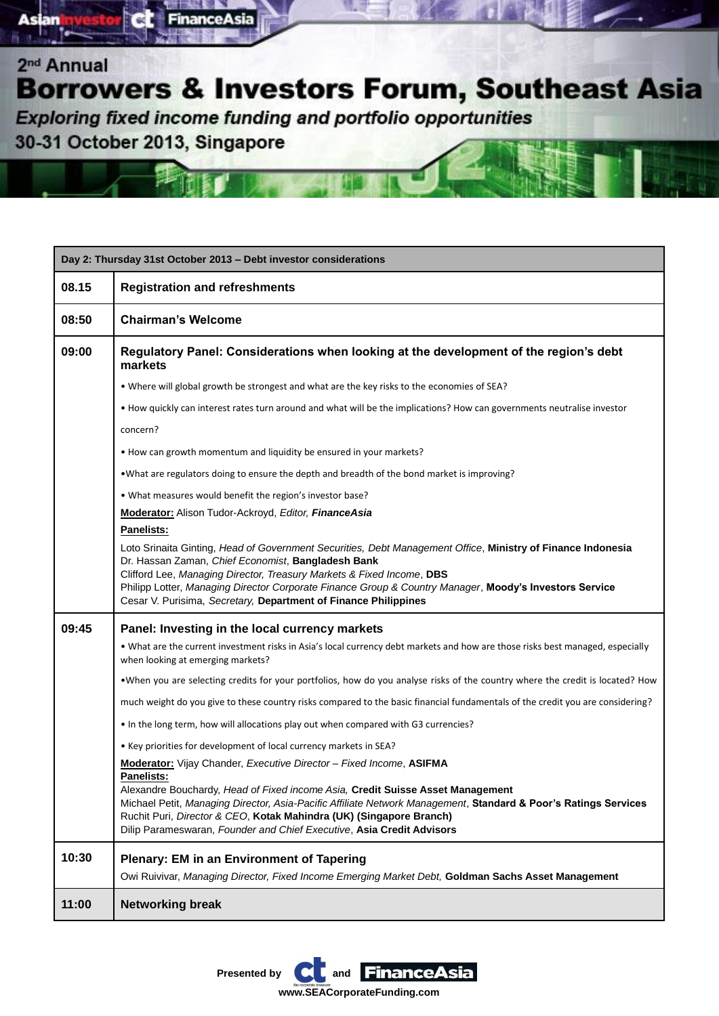

**FinanceAsia** 

a

| Day 2: Thursday 31st October 2013 - Debt investor considerations |                                                                                                                                                                                                                                                                                                                                                                                                                                               |
|------------------------------------------------------------------|-----------------------------------------------------------------------------------------------------------------------------------------------------------------------------------------------------------------------------------------------------------------------------------------------------------------------------------------------------------------------------------------------------------------------------------------------|
| 08.15                                                            | <b>Registration and refreshments</b>                                                                                                                                                                                                                                                                                                                                                                                                          |
| 08:50                                                            | <b>Chairman's Welcome</b>                                                                                                                                                                                                                                                                                                                                                                                                                     |
| 09:00                                                            | Regulatory Panel: Considerations when looking at the development of the region's debt<br>markets                                                                                                                                                                                                                                                                                                                                              |
|                                                                  | . Where will global growth be strongest and what are the key risks to the economies of SEA?                                                                                                                                                                                                                                                                                                                                                   |
|                                                                  | • How quickly can interest rates turn around and what will be the implications? How can governments neutralise investor                                                                                                                                                                                                                                                                                                                       |
|                                                                  | concern?                                                                                                                                                                                                                                                                                                                                                                                                                                      |
|                                                                  | • How can growth momentum and liquidity be ensured in your markets?                                                                                                                                                                                                                                                                                                                                                                           |
|                                                                  | . What are regulators doing to ensure the depth and breadth of the bond market is improving?                                                                                                                                                                                                                                                                                                                                                  |
|                                                                  | . What measures would benefit the region's investor base?                                                                                                                                                                                                                                                                                                                                                                                     |
|                                                                  | Moderator: Alison Tudor-Ackroyd, Editor, FinanceAsia<br>Panelists:                                                                                                                                                                                                                                                                                                                                                                            |
|                                                                  | Loto Srinaita Ginting, Head of Government Securities, Debt Management Office, Ministry of Finance Indonesia<br>Dr. Hassan Zaman, Chief Economist, Bangladesh Bank<br>Clifford Lee, Managing Director, Treasury Markets & Fixed Income, DBS<br>Philipp Lotter, Managing Director Corporate Finance Group & Country Manager, Moody's Investors Service<br>Cesar V. Purisima, Secretary, Department of Finance Philippines                       |
| 09:45                                                            | Panel: Investing in the local currency markets                                                                                                                                                                                                                                                                                                                                                                                                |
|                                                                  | . What are the current investment risks in Asia's local currency debt markets and how are those risks best managed, especially<br>when looking at emerging markets?                                                                                                                                                                                                                                                                           |
|                                                                  | . When you are selecting credits for your portfolios, how do you analyse risks of the country where the credit is located? How                                                                                                                                                                                                                                                                                                                |
|                                                                  | much weight do you give to these country risks compared to the basic financial fundamentals of the credit you are considering?                                                                                                                                                                                                                                                                                                                |
|                                                                  | . In the long term, how will allocations play out when compared with G3 currencies?                                                                                                                                                                                                                                                                                                                                                           |
|                                                                  | • Key priorities for development of local currency markets in SEA?                                                                                                                                                                                                                                                                                                                                                                            |
|                                                                  | Moderator: Vijay Chander, Executive Director - Fixed Income, ASIFMA<br><b>Panelists:</b><br>Alexandre Bouchardy, Head of Fixed income Asia, Credit Suisse Asset Management<br>Michael Petit, Managing Director, Asia-Pacific Affiliate Network Management, Standard & Poor's Ratings Services<br>Ruchit Puri, Director & CEO, Kotak Mahindra (UK) (Singapore Branch)<br>Dilip Parameswaran, Founder and Chief Executive, Asia Credit Advisors |
| 10:30                                                            | Plenary: EM in an Environment of Tapering<br>Owi Ruivivar, Managing Director, Fixed Income Emerging Market Debt, Goldman Sachs Asset Management                                                                                                                                                                                                                                                                                               |
| 11:00                                                            | <b>Networking break</b>                                                                                                                                                                                                                                                                                                                                                                                                                       |

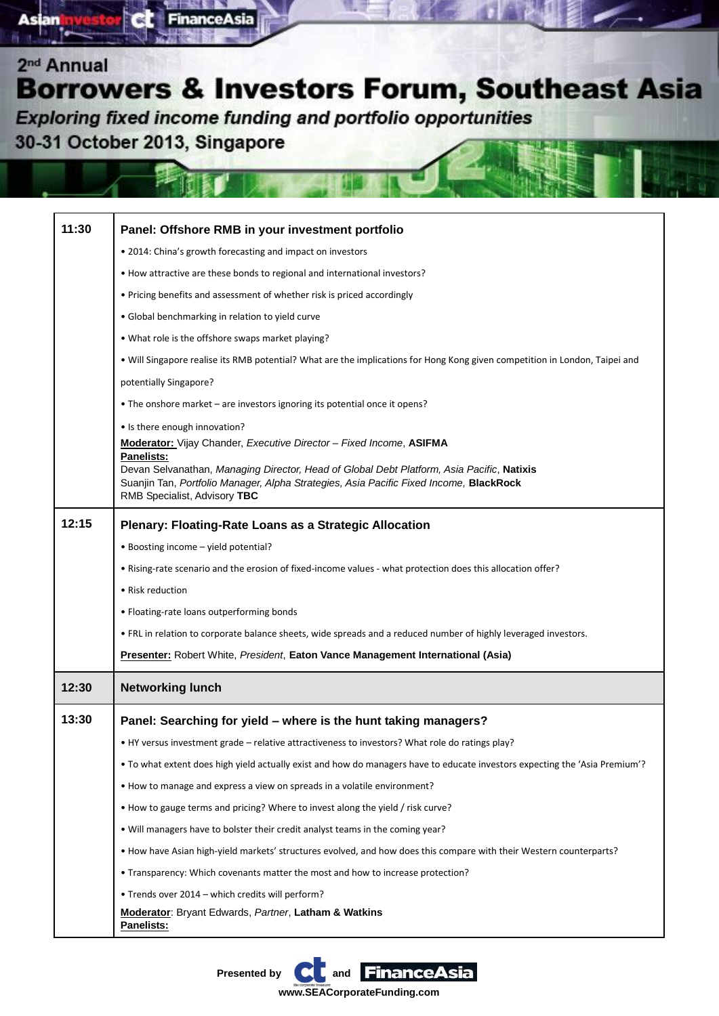Exploring fixed income funding and portfolio opportunities

30-31 October 2013, Singapore

ब

**Asian** 

FinanceAsia

| 11:30 | Panel: Offshore RMB in your investment portfolio                                                                            |
|-------|-----------------------------------------------------------------------------------------------------------------------------|
|       | • 2014: China's growth forecasting and impact on investors                                                                  |
|       | • How attractive are these bonds to regional and international investors?                                                   |
|       | • Pricing benefits and assessment of whether risk is priced accordingly                                                     |
|       | • Global benchmarking in relation to yield curve                                                                            |
|       | • What role is the offshore swaps market playing?                                                                           |
|       | . Will Singapore realise its RMB potential? What are the implications for Hong Kong given competition in London, Taipei and |
|       | potentially Singapore?                                                                                                      |
|       | • The onshore market – are investors ignoring its potential once it opens?                                                  |
|       | • Is there enough innovation?                                                                                               |
|       | Moderator: Vijay Chander, Executive Director - Fixed Income, ASIFMA<br><b>Panelists:</b>                                    |
|       | Devan Selvanathan, Managing Director, Head of Global Debt Platform, Asia Pacific, Natixis                                   |
|       | Suanjin Tan, Portfolio Manager, Alpha Strategies, Asia Pacific Fixed Income, BlackRock<br>RMB Specialist, Advisory TBC      |
| 12:15 | <b>Plenary: Floating-Rate Loans as a Strategic Allocation</b>                                                               |
|       | • Boosting income - yield potential?                                                                                        |
|       | . Rising-rate scenario and the erosion of fixed-income values - what protection does this allocation offer?                 |
|       | • Risk reduction                                                                                                            |
|       | • Floating-rate loans outperforming bonds                                                                                   |
|       | . FRL in relation to corporate balance sheets, wide spreads and a reduced number of highly leveraged investors.             |
|       | <b>Presenter:</b> Robert White, President, Eaton Vance Management International (Asia)                                      |
| 12:30 | <b>Networking lunch</b>                                                                                                     |
| 13:30 | Panel: Searching for yield - where is the hunt taking managers?                                                             |
|       | . HY versus investment grade - relative attractiveness to investors? What role do ratings play?                             |
|       | • To what extent does high yield actually exist and how do managers have to educate investors expecting the 'Asia Premium'? |
|       | . How to manage and express a view on spreads in a volatile environment?                                                    |
|       | • How to gauge terms and pricing? Where to invest along the yield / risk curve?                                             |
|       | . Will managers have to bolster their credit analyst teams in the coming year?                                              |
|       | . How have Asian high-yield markets' structures evolved, and how does this compare with their Western counterparts?         |
|       | • Transparency: Which covenants matter the most and how to increase protection?                                             |
|       | . Trends over 2014 - which credits will perform?                                                                            |
|       | <b>Moderator: Bryant Edwards, Partner, Latham &amp; Watkins</b><br>Panelists:                                               |

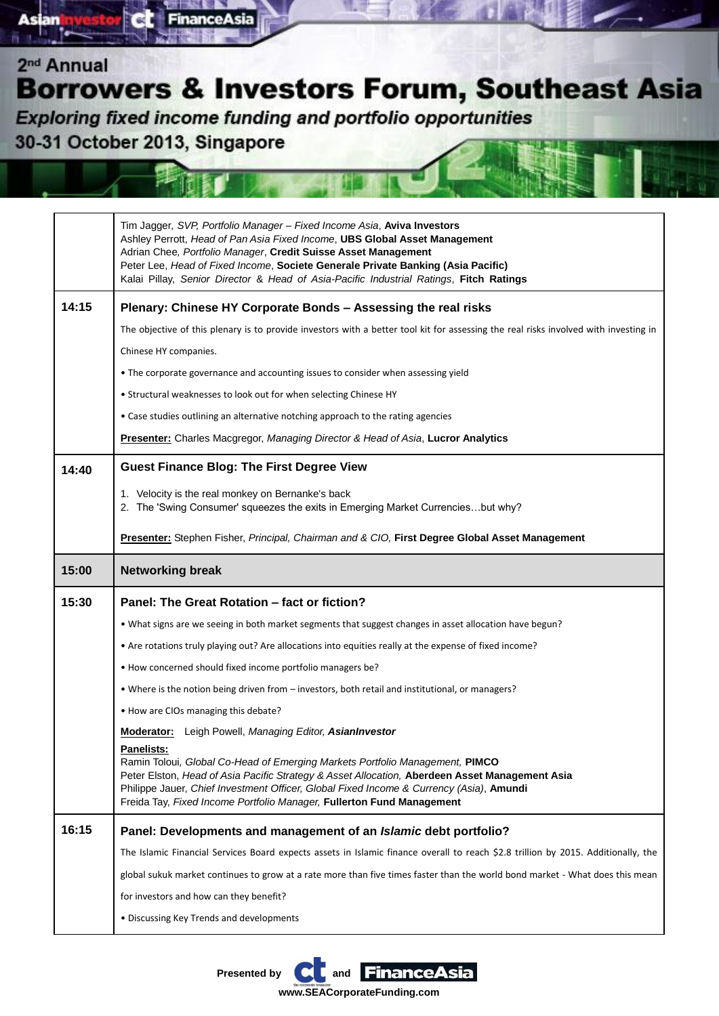Exploring fixed income funding and portfolio opportunities 30-31 October 2013, Singapore

**FinanceAsia** 

e.

| Tim Jagger, SVP, Portfolio Manager - Fixed Income Asia, Aviva Investors<br>Ashley Perrott, Head of Pan Asia Fixed Income, UBS Global Asset Management<br>Adrian Chee, Portfolio Manager, Credit Suisse Asset Management<br>Peter Lee, Head of Fixed Income, Societe Generale Private Banking (Asia Pacific)<br>Kalai Pillay, Senior Director & Head of Asia-Pacific Industrial Ratings, Fitch Ratings<br>14:15<br>Plenary: Chinese HY Corporate Bonds - Assessing the real risks<br>The objective of this plenary is to provide investors with a better tool kit for assessing the real risks involved with investing in<br>Chinese HY companies.<br>• The corporate governance and accounting issues to consider when assessing yield<br>• Structural weaknesses to look out for when selecting Chinese HY<br>• Case studies outlining an alternative notching approach to the rating agencies<br><b>Presenter:</b> Charles Macgregor, Managing Director & Head of Asia, Lucror Analytics<br><b>Guest Finance Blog: The First Degree View</b><br>14:40<br>1. Velocity is the real monkey on Bernanke's back<br>2. The 'Swing Consumer' squeezes the exits in Emerging Market Currenciesbut why?<br>Presenter: Stephen Fisher, Principal, Chairman and & CIO, First Degree Global Asset Management<br>15:00<br><b>Networking break</b><br>15:30<br>Panel: The Great Rotation - fact or fiction?<br>. What signs are we seeing in both market segments that suggest changes in asset allocation have begun?<br>• Are rotations truly playing out? Are allocations into equities really at the expense of fixed income?<br>. How concerned should fixed income portfolio managers be?<br>. Where is the notion being driven from - investors, both retail and institutional, or managers?<br>• How are CIOs managing this debate?<br><b>Moderator:</b> Leigh Powell, Managing Editor, AsianInvestor<br>Panelists:<br>Ramin Toloui, Global Co-Head of Emerging Markets Portfolio Management, PIMCO<br>Peter Elston, Head of Asia Pacific Strategy & Asset Allocation, Aberdeen Asset Management Asia<br>Philippe Jauer, Chief Investment Officer, Global Fixed Income & Currency (Asia), Amundi<br>Freida Tay, Fixed Income Portfolio Manager, Fullerton Fund Management |
|-----------------------------------------------------------------------------------------------------------------------------------------------------------------------------------------------------------------------------------------------------------------------------------------------------------------------------------------------------------------------------------------------------------------------------------------------------------------------------------------------------------------------------------------------------------------------------------------------------------------------------------------------------------------------------------------------------------------------------------------------------------------------------------------------------------------------------------------------------------------------------------------------------------------------------------------------------------------------------------------------------------------------------------------------------------------------------------------------------------------------------------------------------------------------------------------------------------------------------------------------------------------------------------------------------------------------------------------------------------------------------------------------------------------------------------------------------------------------------------------------------------------------------------------------------------------------------------------------------------------------------------------------------------------------------------------------------------------------------------------------------------------------------------------------------------------------------------------------------------------------------------------------------------------------------------------------------------------------------------------------------------------------------------------------------------------------------------------------------------------------------------------------------------------------------------------------------------------------------------------------------------------------|
|                                                                                                                                                                                                                                                                                                                                                                                                                                                                                                                                                                                                                                                                                                                                                                                                                                                                                                                                                                                                                                                                                                                                                                                                                                                                                                                                                                                                                                                                                                                                                                                                                                                                                                                                                                                                                                                                                                                                                                                                                                                                                                                                                                                                                                                                       |
|                                                                                                                                                                                                                                                                                                                                                                                                                                                                                                                                                                                                                                                                                                                                                                                                                                                                                                                                                                                                                                                                                                                                                                                                                                                                                                                                                                                                                                                                                                                                                                                                                                                                                                                                                                                                                                                                                                                                                                                                                                                                                                                                                                                                                                                                       |
|                                                                                                                                                                                                                                                                                                                                                                                                                                                                                                                                                                                                                                                                                                                                                                                                                                                                                                                                                                                                                                                                                                                                                                                                                                                                                                                                                                                                                                                                                                                                                                                                                                                                                                                                                                                                                                                                                                                                                                                                                                                                                                                                                                                                                                                                       |
|                                                                                                                                                                                                                                                                                                                                                                                                                                                                                                                                                                                                                                                                                                                                                                                                                                                                                                                                                                                                                                                                                                                                                                                                                                                                                                                                                                                                                                                                                                                                                                                                                                                                                                                                                                                                                                                                                                                                                                                                                                                                                                                                                                                                                                                                       |
|                                                                                                                                                                                                                                                                                                                                                                                                                                                                                                                                                                                                                                                                                                                                                                                                                                                                                                                                                                                                                                                                                                                                                                                                                                                                                                                                                                                                                                                                                                                                                                                                                                                                                                                                                                                                                                                                                                                                                                                                                                                                                                                                                                                                                                                                       |
|                                                                                                                                                                                                                                                                                                                                                                                                                                                                                                                                                                                                                                                                                                                                                                                                                                                                                                                                                                                                                                                                                                                                                                                                                                                                                                                                                                                                                                                                                                                                                                                                                                                                                                                                                                                                                                                                                                                                                                                                                                                                                                                                                                                                                                                                       |
|                                                                                                                                                                                                                                                                                                                                                                                                                                                                                                                                                                                                                                                                                                                                                                                                                                                                                                                                                                                                                                                                                                                                                                                                                                                                                                                                                                                                                                                                                                                                                                                                                                                                                                                                                                                                                                                                                                                                                                                                                                                                                                                                                                                                                                                                       |
|                                                                                                                                                                                                                                                                                                                                                                                                                                                                                                                                                                                                                                                                                                                                                                                                                                                                                                                                                                                                                                                                                                                                                                                                                                                                                                                                                                                                                                                                                                                                                                                                                                                                                                                                                                                                                                                                                                                                                                                                                                                                                                                                                                                                                                                                       |
|                                                                                                                                                                                                                                                                                                                                                                                                                                                                                                                                                                                                                                                                                                                                                                                                                                                                                                                                                                                                                                                                                                                                                                                                                                                                                                                                                                                                                                                                                                                                                                                                                                                                                                                                                                                                                                                                                                                                                                                                                                                                                                                                                                                                                                                                       |
|                                                                                                                                                                                                                                                                                                                                                                                                                                                                                                                                                                                                                                                                                                                                                                                                                                                                                                                                                                                                                                                                                                                                                                                                                                                                                                                                                                                                                                                                                                                                                                                                                                                                                                                                                                                                                                                                                                                                                                                                                                                                                                                                                                                                                                                                       |
|                                                                                                                                                                                                                                                                                                                                                                                                                                                                                                                                                                                                                                                                                                                                                                                                                                                                                                                                                                                                                                                                                                                                                                                                                                                                                                                                                                                                                                                                                                                                                                                                                                                                                                                                                                                                                                                                                                                                                                                                                                                                                                                                                                                                                                                                       |
|                                                                                                                                                                                                                                                                                                                                                                                                                                                                                                                                                                                                                                                                                                                                                                                                                                                                                                                                                                                                                                                                                                                                                                                                                                                                                                                                                                                                                                                                                                                                                                                                                                                                                                                                                                                                                                                                                                                                                                                                                                                                                                                                                                                                                                                                       |
|                                                                                                                                                                                                                                                                                                                                                                                                                                                                                                                                                                                                                                                                                                                                                                                                                                                                                                                                                                                                                                                                                                                                                                                                                                                                                                                                                                                                                                                                                                                                                                                                                                                                                                                                                                                                                                                                                                                                                                                                                                                                                                                                                                                                                                                                       |
|                                                                                                                                                                                                                                                                                                                                                                                                                                                                                                                                                                                                                                                                                                                                                                                                                                                                                                                                                                                                                                                                                                                                                                                                                                                                                                                                                                                                                                                                                                                                                                                                                                                                                                                                                                                                                                                                                                                                                                                                                                                                                                                                                                                                                                                                       |
|                                                                                                                                                                                                                                                                                                                                                                                                                                                                                                                                                                                                                                                                                                                                                                                                                                                                                                                                                                                                                                                                                                                                                                                                                                                                                                                                                                                                                                                                                                                                                                                                                                                                                                                                                                                                                                                                                                                                                                                                                                                                                                                                                                                                                                                                       |
|                                                                                                                                                                                                                                                                                                                                                                                                                                                                                                                                                                                                                                                                                                                                                                                                                                                                                                                                                                                                                                                                                                                                                                                                                                                                                                                                                                                                                                                                                                                                                                                                                                                                                                                                                                                                                                                                                                                                                                                                                                                                                                                                                                                                                                                                       |
|                                                                                                                                                                                                                                                                                                                                                                                                                                                                                                                                                                                                                                                                                                                                                                                                                                                                                                                                                                                                                                                                                                                                                                                                                                                                                                                                                                                                                                                                                                                                                                                                                                                                                                                                                                                                                                                                                                                                                                                                                                                                                                                                                                                                                                                                       |
|                                                                                                                                                                                                                                                                                                                                                                                                                                                                                                                                                                                                                                                                                                                                                                                                                                                                                                                                                                                                                                                                                                                                                                                                                                                                                                                                                                                                                                                                                                                                                                                                                                                                                                                                                                                                                                                                                                                                                                                                                                                                                                                                                                                                                                                                       |
|                                                                                                                                                                                                                                                                                                                                                                                                                                                                                                                                                                                                                                                                                                                                                                                                                                                                                                                                                                                                                                                                                                                                                                                                                                                                                                                                                                                                                                                                                                                                                                                                                                                                                                                                                                                                                                                                                                                                                                                                                                                                                                                                                                                                                                                                       |
|                                                                                                                                                                                                                                                                                                                                                                                                                                                                                                                                                                                                                                                                                                                                                                                                                                                                                                                                                                                                                                                                                                                                                                                                                                                                                                                                                                                                                                                                                                                                                                                                                                                                                                                                                                                                                                                                                                                                                                                                                                                                                                                                                                                                                                                                       |
| 16:15<br>Panel: Developments and management of an Islamic debt portfolio?                                                                                                                                                                                                                                                                                                                                                                                                                                                                                                                                                                                                                                                                                                                                                                                                                                                                                                                                                                                                                                                                                                                                                                                                                                                                                                                                                                                                                                                                                                                                                                                                                                                                                                                                                                                                                                                                                                                                                                                                                                                                                                                                                                                             |
| The Islamic Financial Services Board expects assets in Islamic finance overall to reach \$2.8 trillion by 2015. Additionally, the                                                                                                                                                                                                                                                                                                                                                                                                                                                                                                                                                                                                                                                                                                                                                                                                                                                                                                                                                                                                                                                                                                                                                                                                                                                                                                                                                                                                                                                                                                                                                                                                                                                                                                                                                                                                                                                                                                                                                                                                                                                                                                                                     |
|                                                                                                                                                                                                                                                                                                                                                                                                                                                                                                                                                                                                                                                                                                                                                                                                                                                                                                                                                                                                                                                                                                                                                                                                                                                                                                                                                                                                                                                                                                                                                                                                                                                                                                                                                                                                                                                                                                                                                                                                                                                                                                                                                                                                                                                                       |
| global sukuk market continues to grow at a rate more than five times faster than the world bond market - What does this mean                                                                                                                                                                                                                                                                                                                                                                                                                                                                                                                                                                                                                                                                                                                                                                                                                                                                                                                                                                                                                                                                                                                                                                                                                                                                                                                                                                                                                                                                                                                                                                                                                                                                                                                                                                                                                                                                                                                                                                                                                                                                                                                                          |
| for investors and how can they benefit?                                                                                                                                                                                                                                                                                                                                                                                                                                                                                                                                                                                                                                                                                                                                                                                                                                                                                                                                                                                                                                                                                                                                                                                                                                                                                                                                                                                                                                                                                                                                                                                                                                                                                                                                                                                                                                                                                                                                                                                                                                                                                                                                                                                                                               |

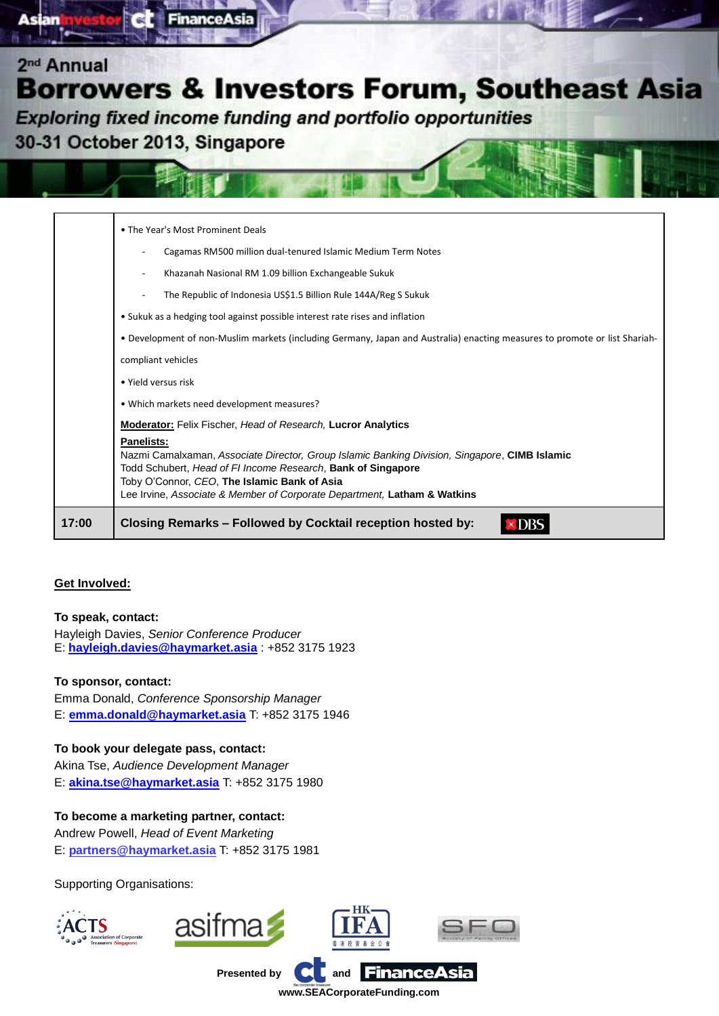

| 17:00 | Lee Irvine, Associate & Member of Corporate Department, Latham & Watkins<br>Closing Remarks - Followed by Cocktail reception hosted by:                                                                                            |
|-------|------------------------------------------------------------------------------------------------------------------------------------------------------------------------------------------------------------------------------------|
|       | <b>Panelists:</b><br>Nazmi Camalxaman, Associate Director, Group Islamic Banking Division, Singapore, CIMB Islamic<br>Todd Schubert, Head of FI Income Research, Bank of Singapore<br>Toby O'Connor, CEO, The Islamic Bank of Asia |
|       | . Which markets need development measures?<br><b>Moderator:</b> Felix Fischer, Head of Research, Lucror Analytics                                                                                                                  |
|       | • Yield versus risk                                                                                                                                                                                                                |
|       | compliant vehicles                                                                                                                                                                                                                 |
|       | . Development of non-Muslim markets (including Germany, Japan and Australia) enacting measures to promote or list Shariah-                                                                                                         |
|       | • Sukuk as a hedging tool against possible interest rate rises and inflation                                                                                                                                                       |
|       | The Republic of Indonesia US\$1.5 Billion Rule 144A/Reg S Sukuk                                                                                                                                                                    |
|       | Khazanah Nasional RM 1.09 billion Exchangeable Sukuk                                                                                                                                                                               |
|       | Cagamas RM500 million dual-tenured Islamic Medium Term Notes                                                                                                                                                                       |
|       | • The Year's Most Prominent Deals                                                                                                                                                                                                  |

### **Get Involved:**

### **To speak, contact:**

Hayleigh Davies, *Senior Conference Producer* E: **[hayleigh.davies@haymarket.asia](mailto:hayleigh.davies@haymarket.asia)** : +852 3175 1923

### **To sponsor, contact:**

Emma Donald, *Conference Sponsorship Manager* E: **[emma.donald@haymarket.asia](mailto:emma.donald@haymarket.asia)** T: +852 3175 1946

### **To book your delegate pass, contact:**

Akina Tse, *Audience Development Manager* E: **[akina.tse@haymarket.asia](mailto:akina.tse@haymarket.asia)** T: +852 3175 1980

### **To become a marketing partner, contact:**

Andrew Powell, *Head of Event Marketing* E: **[partners@haymarket.asia](mailto:partners@haymarket.asia)** T: +852 3175 1981

Supporting Organisations: